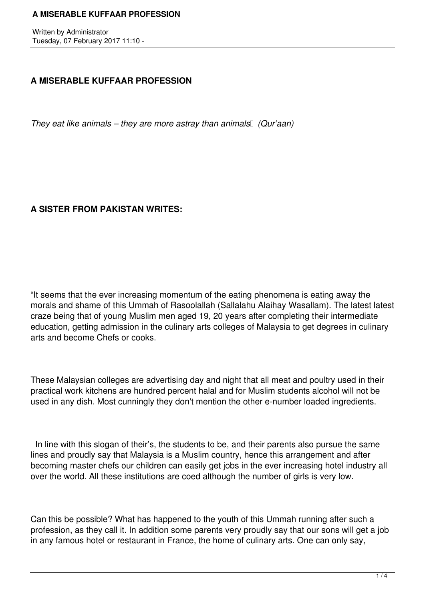Written by Administrator Tuesday, 07 February 2017 11:10 -

# **A MISERABLE KUFFAAR PROFESSION**

*They eat like animals – they are more astray than animals (Qur'aan)* 

# **A SISTER FROM PAKISTAN WRITES:**

"It seems that the ever increasing momentum of the eating phenomena is eating away the morals and shame of this Ummah of Rasoolallah (Sallalahu Alaihay Wasallam). The latest latest craze being that of young Muslim men aged 19, 20 years after completing their intermediate education, getting admission in the culinary arts colleges of Malaysia to get degrees in culinary arts and become Chefs or cooks.

These Malaysian colleges are advertising day and night that all meat and poultry used in their practical work kitchens are hundred percent halal and for Muslim students alcohol will not be used in any dish. Most cunningly they don't mention the other e-number loaded ingredients.

 In line with this slogan of their's, the students to be, and their parents also pursue the same lines and proudly say that Malaysia is a Muslim country, hence this arrangement and after becoming master chefs our children can easily get jobs in the ever increasing hotel industry all over the world. All these institutions are coed although the number of girls is very low.

Can this be possible? What has happened to the youth of this Ummah running after such a profession, as they call it. In addition some parents very proudly say that our sons will get a job in any famous hotel or restaurant in France, the home of culinary arts. One can only say,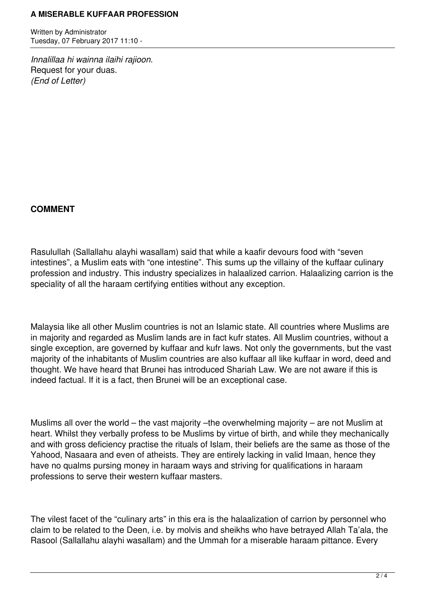Written by Administrator Tuesday, 07 February 2017 11:10 -

*Innalillaa hi wainna ilaihi rajioon.*  Request for your duas. *(End of Letter)*

## **COMMENT**

Rasulullah (Sallallahu alayhi wasallam) said that while a kaafir devours food with "seven intestines", a Muslim eats with "one intestine". This sums up the villainy of the kuffaar culinary profession and industry. This industry specializes in halaalized carrion. Halaalizing carrion is the speciality of all the haraam certifying entities without any exception.

Malaysia like all other Muslim countries is not an Islamic state. All countries where Muslims are in majority and regarded as Muslim lands are in fact kufr states. All Muslim countries, without a single exception, are governed by kuffaar and kufr laws. Not only the governments, but the vast majority of the inhabitants of Muslim countries are also kuffaar all like kuffaar in word, deed and thought. We have heard that Brunei has introduced Shariah Law. We are not aware if this is indeed factual. If it is a fact, then Brunei will be an exceptional case.

Muslims all over the world – the vast majority – the overwhelming majority – are not Muslim at heart. Whilst they verbally profess to be Muslims by virtue of birth, and while they mechanically and with gross deficiency practise the rituals of Islam, their beliefs are the same as those of the Yahood, Nasaara and even of atheists. They are entirely lacking in valid Imaan, hence they have no qualms pursing money in haraam ways and striving for qualifications in haraam professions to serve their western kuffaar masters.

The vilest facet of the "culinary arts" in this era is the halaalization of carrion by personnel who claim to be related to the Deen, i.e. by molvis and sheikhs who have betrayed Allah Ta'ala, the Rasool (Sallallahu alayhi wasallam) and the Ummah for a miserable haraam pittance. Every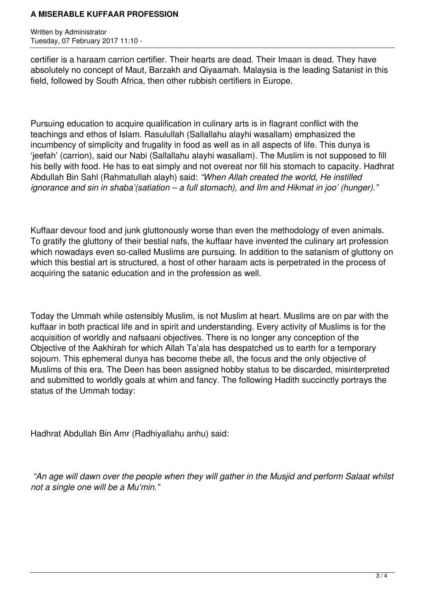Written by Administrator Tuesday, 07 February 2017 11:10 -

certifier is a haraam carrion certifier. Their hearts are dead. Their Imaan is dead. They have absolutely no concept of Maut, Barzakh and Qiyaamah. Malaysia is the leading Satanist in this field, followed by South Africa, then other rubbish certifiers in Europe.

Pursuing education to acquire qualification in culinary arts is in flagrant conflict with the teachings and ethos of Islam. Rasulullah (Sallallahu alayhi wasallam) emphasized the incumbency of simplicity and frugality in food as well as in all aspects of life. This dunya is 'jeefah' (carrion), said our Nabi (Sallallahu alayhi wasallam). The Muslim is not supposed to fill his belly with food. He has to eat simply and not overeat nor fill his stomach to capacity. Hadhrat Abdullah Bin Sahl (Rahmatullah alayh) said: *"When Allah created the world, He instilled ignorance and sin in shaba'(satiation – a full stomach), and Ilm and Hikmat in joo' (hunger)."*

Kuffaar devour food and junk gluttonously worse than even the methodology of even animals. To gratify the gluttony of their bestial nafs, the kuffaar have invented the culinary art profession which nowadays even so-called Muslims are pursuing. In addition to the satanism of gluttony on which this bestial art is structured, a host of other haraam acts is perpetrated in the process of acquiring the satanic education and in the profession as well.

Today the Ummah while ostensibly Muslim, is not Muslim at heart. Muslims are on par with the kuffaar in both practical life and in spirit and understanding. Every activity of Muslims is for the acquisition of worldly and nafsaani objectives. There is no longer any conception of the Objective of the Aakhirah for which Allah Ta'ala has despatched us to earth for a temporary sojourn. This ephemeral dunya has become thebe all, the focus and the only objective of Muslims of this era. The Deen has been assigned hobby status to be discarded, misinterpreted and submitted to worldly goals at whim and fancy. The following Hadith succinctly portrays the status of the Ummah today:

Hadhrat Abdullah Bin Amr (Radhiyallahu anhu) said:

 *"An age will dawn over the people when they will gather in the Musjid and perform Salaat whilst not a single one will be a Mu'min."*